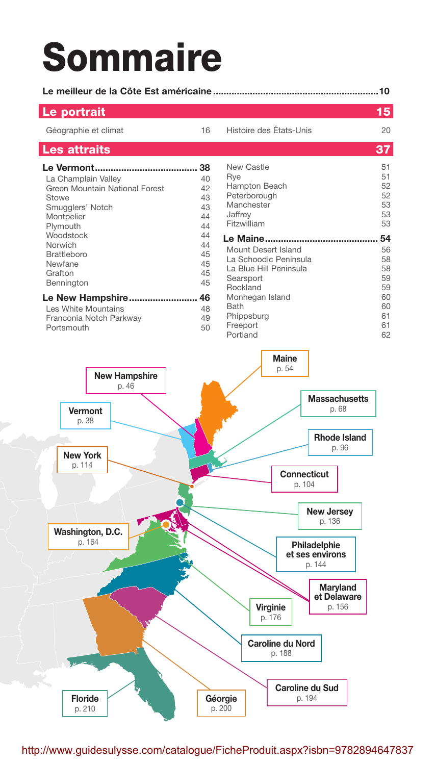## **Sommaire**

| Le portrait                                                                                                               |                                              |                                                                                                                                          | 15                                           |  |  |  |
|---------------------------------------------------------------------------------------------------------------------------|----------------------------------------------|------------------------------------------------------------------------------------------------------------------------------------------|----------------------------------------------|--|--|--|
| Géographie et climat                                                                                                      | 16                                           | Histoire des États-Unis                                                                                                                  | 20                                           |  |  |  |
| Les attraits                                                                                                              |                                              |                                                                                                                                          | 37                                           |  |  |  |
| La Champlain Valley<br>Green Mountain National Forest<br>Stowe<br>Smugglers' Notch<br>Montpelier<br>Plymouth<br>Woodstock | 38<br>40<br>42<br>43<br>43<br>44<br>44<br>44 | <b>New Castle</b><br>Rye<br>Hampton Beach<br>Peterborough<br>Manchester<br>Jaffrey<br>Fitzwilliam                                        | 51<br>51<br>52<br>52<br>53<br>53<br>53<br>54 |  |  |  |
| Norwich<br><b>Brattleboro</b><br>Newfane<br>Grafton<br>Bennington<br>Le New Hampshire 46<br>Les White Mountains           | 44<br>45<br>45<br>45<br>45<br>48             | Mount Desert Island<br>La Schoodic Peninsula<br>La Blue Hill Peninsula<br>Searsport<br>Rockland<br>Monhegan Island<br>Bath<br>Phippsburg | 56<br>58<br>58<br>59<br>59<br>60<br>60<br>61 |  |  |  |
| Franconia Notch Parkway                                                                                                   | 49                                           |                                                                                                                                          | $\sim$ $\sim$                                |  |  |  |